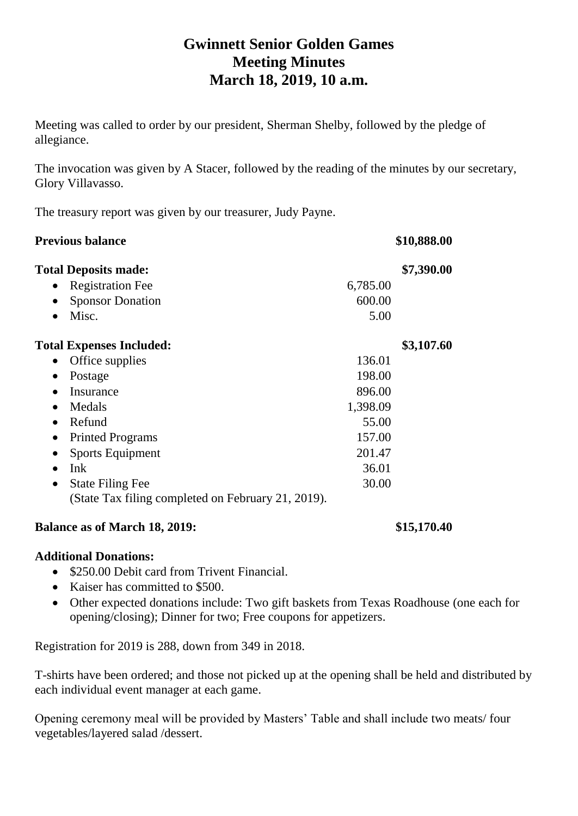# **Gwinnett Senior Golden Games Meeting Minutes March 18, 2019, 10 a.m.**

Meeting was called to order by our president, Sherman Shelby, followed by the pledge of allegiance.

The invocation was given by A Stacer, followed by the reading of the minutes by our secretary, Glory Villavasso.

The treasury report was given by our treasurer, Judy Payne.

| <b>Previous balance</b>                            | \$10,888.00 |            |
|----------------------------------------------------|-------------|------------|
| <b>Total Deposits made:</b>                        |             | \$7,390.00 |
| <b>Registration Fee</b><br>$\bullet$               | 6,785.00    |            |
| <b>Sponsor Donation</b><br>$\bullet$               | 600.00      |            |
| Misc.                                              | 5.00        |            |
| <b>Total Expenses Included:</b>                    |             | \$3,107.60 |
| Office supplies<br>$\bullet$                       | 136.01      |            |
| Postage<br>$\bullet$                               | 198.00      |            |
| Insurance                                          | 896.00      |            |
| Medals                                             | 1,398.09    |            |
| Refund<br>$\bullet$                                | 55.00       |            |
| <b>Printed Programs</b><br>$\bullet$               | 157.00      |            |
| <b>Sports Equipment</b><br>$\bullet$               | 201.47      |            |
| Ink                                                | 36.01       |            |
| <b>State Filing Fee</b><br>$\bullet$               | 30.00       |            |
| (State Tax filing completed on February 21, 2019). |             |            |

#### **Balance as of March 18, 2019: \$15,170.40**

#### **Additional Donations:**

- \$250.00 Debit card from Trivent Financial.
- Kaiser has committed to \$500.
- Other expected donations include: Two gift baskets from Texas Roadhouse (one each for opening/closing); Dinner for two; Free coupons for appetizers.

Registration for 2019 is 288, down from 349 in 2018.

T-shirts have been ordered; and those not picked up at the opening shall be held and distributed by each individual event manager at each game.

Opening ceremony meal will be provided by Masters' Table and shall include two meats/ four vegetables/layered salad /dessert.